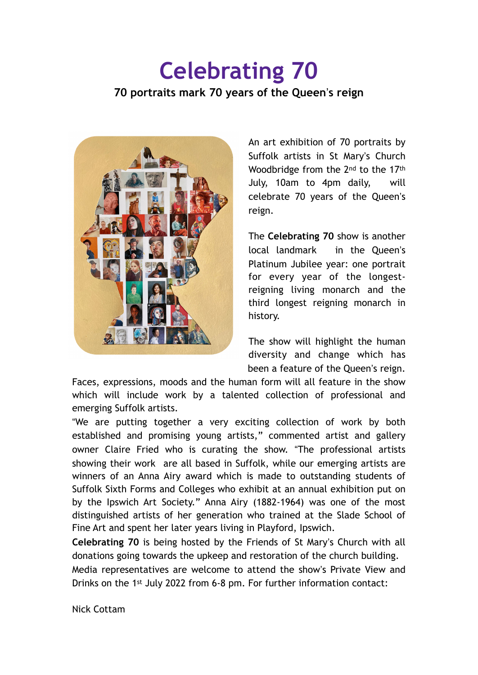## **Celebrating 70 70 portraits mark 70 years of the Queen**!**s reign**



An art exhibition of 70 portraits by Suffolk artists in St Mary's Church Woodbridge from the 2<sup>nd</sup> to the 17<sup>th</sup> July, 10am to 4pm daily, will celebrate 70 years of the Queen's reign.

The **Celebrating 70** show is another local landmark in the Queen's Platinum Jubilee year: one portrait for every year of the longestreigning living monarch and the third longest reigning monarch in history.

The show will highlight the human diversity and change which has been a feature of the Queen's reign.

Faces, expressions, moods and the human form will all feature in the show which will include work by a talented collection of professional and emerging Suffolk artists.

"We are putting together a very exciting collection of work by both established and promising young artists," commented artist and gallery owner Claire Fried who is curating the show. "The professional artists showing their work are all based in Suffolk, while our emerging artists are winners of an Anna Airy award which is made to outstanding students of Suffolk Sixth Forms and Colleges who exhibit at an annual exhibition put on by the Ipswich Art Society." Anna Airy (1882-1964) was one of the most distinguished artists of her generation who trained at the Slade School of Fine Art and spent her later years living in Playford, Ipswich.

**Celebrating 70** is being hosted by the Friends of St Mary's Church with all donations going towards the upkeep and restoration of the church building. Media representatives are welcome to attend the show's Private View and Drinks on the 1st July 2022 from 6-8 pm. For further information contact:

Nick Cottam